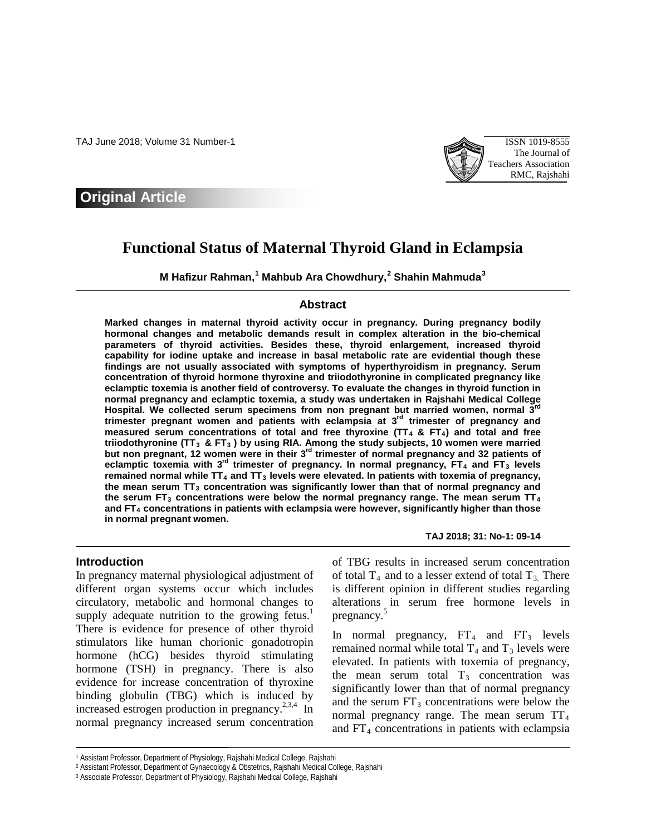TAJ June 2018; Volume 31 Number-1 ISSN 1019-8555



# **Original Article**

# **Functional Status of Maternal Thyroid Gland in Eclampsia**

**M Hafizur Rahman, [1](#page-0-0) Mahbub Ara Chowdhury, [2](#page-0-1) Shahin Mahmuda[3](#page-0-2)**

## **Abstract**

**Marked changes in maternal thyroid activity occur in pregnancy. During pregnancy bodily hormonal changes and metabolic demands result in complex alteration in the bio-chemical parameters of thyroid activities. Besides these, thyroid enlargement, increased thyroid capability for iodine uptake and increase in basal metabolic rate are evidential though these findings are not usually associated with symptoms of hyperthyroidism in pregnancy. Serum concentration of thyroid hormone thyroxine and triiodothyronine in complicated pregnancy like eclamptic toxemia is another field of controversy. To evaluate the changes in thyroid function in normal pregnancy and eclamptic toxemia, a study was undertaken in Rajshahi Medical College Hospital. We collected serum specimens from non pregnant but married women, normal 3rd trimester pregnant women and patients with eclampsia at 3rd trimester of pregnancy and**  measured serum concentrations of total and free thyroxine (TT<sub>4</sub> & FT<sub>4</sub>) and total and free **triiodothyronine (TT3 & FT3 ) by using RIA. Among the study subjects, 10 women were married but non pregnant, 12 women were in their 3rd trimester of normal pregnancy and 32 patients of eclamptic toxemia with 3rd trimester of pregnancy. In normal pregnancy, FT4 and FT3 levels**  remained normal while TT<sub>4</sub> and TT<sub>3</sub> levels were elevated. In patients with toxemia of pregnancy, the mean serum TT<sub>3</sub> concentration was significantly lower than that of normal pregnancy and **the serum FT3 concentrations were below the normal pregnancy range. The mean serum TT4 and FT4 concentrations in patients with eclampsia were however, significantly higher than those in normal pregnant women.**

#### **Introduction**

 $\overline{a}$ 

In pregnancy maternal physiological adjustment of different organ systems occur which includes circulatory, metabolic and hormonal changes to supply adequate nutrition to the growing fetus.<sup>1</sup> There is evidence for presence of other thyroid stimulators like human chorionic gonadotropin hormone (hCG) besides thyroid stimulating hormone (TSH) in pregnancy. There is also evidence for increase concentration of thyroxine binding globulin (TBG) which is induced by increased estrogen production in pregnancy.<sup>2,3,4</sup> In normal pregnancy increased serum concentration

**TAJ 2018; 31: No-1: 09-14**

of TBG results in increased serum concentration of total  $T_4$  and to a lesser extend of total  $T_3$ . There is different opinion in different studies regarding alterations in serum free hormone levels in pregnancy.<sup>5</sup>

In normal pregnancy,  $FT_4$  and  $FT_3$  levels remained normal while total  $T_4$  and  $T_3$  levels were elevated. In patients with toxemia of pregnancy, the mean serum total  $T_3$  concentration was significantly lower than that of normal pregnancy and the serum  $FT_3$  concentrations were below the normal pregnancy range. The mean serum  $TT_4$ and  $FT<sub>4</sub>$  concentrations in patients with eclampsia

<span id="page-0-0"></span><sup>1</sup> Assistant Professor, Department of Physiology, Rajshahi Medical College, Rajshahi

<span id="page-0-1"></span><sup>2</sup> Assistant Professor, Department of Gynaecology & Obstetrics, Rajshahi Medical College, Rajshahi

<span id="page-0-2"></span><sup>3</sup> Associate Professor, Department of Physiology, Rajshahi Medical College, Rajshahi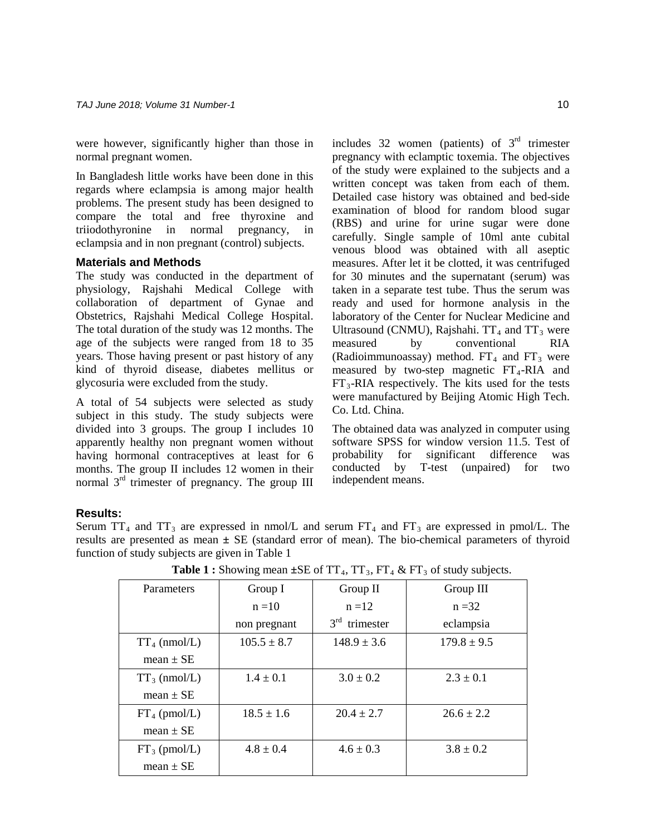were however, significantly higher than those in normal pregnant women.

In Bangladesh little works have been done in this regards where eclampsia is among major health problems. The present study has been designed to compare the total and free thyroxine and triiodothyronine in normal pregnancy, in eclampsia and in non pregnant (control) subjects.

#### **Materials and Methods**

The study was conducted in the department of physiology, Rajshahi Medical College with collaboration of department of Gynae and Obstetrics, Rajshahi Medical College Hospital. The total duration of the study was 12 months. The age of the subjects were ranged from 18 to 35 years. Those having present or past history of any kind of thyroid disease, diabetes mellitus or glycosuria were excluded from the study.

A total of 54 subjects were selected as study subject in this study. The study subjects were divided into 3 groups. The group I includes 10 apparently healthy non pregnant women without having hormonal contraceptives at least for 6 months. The group II includes 12 women in their normal 3<sup>rd</sup> trimester of pregnancy. The group III

includes 32 women (patients) of  $3<sup>rd</sup>$  trimester pregnancy with eclamptic toxemia. The objectives of the study were explained to the subjects and a written concept was taken from each of them. Detailed case history was obtained and bed-side examination of blood for random blood sugar (RBS) and urine for urine sugar were done carefully. Single sample of 10ml ante cubital venous blood was obtained with all aseptic measures. After let it be clotted, it was centrifuged for 30 minutes and the supernatant (serum) was taken in a separate test tube. Thus the serum was ready and used for hormone analysis in the laboratory of the Center for Nuclear Medicine and Ultrasound (CNMU), Rajshahi.  $TT_4$  and  $TT_3$  were measured by conventional RIA (Radioimmunoassay) method.  $FT_4$  and  $FT_3$  were measured by two-step magnetic  $FT<sub>4</sub>$ -RIA and  $FT<sub>3</sub>-RIA$  respectively. The kits used for the tests were manufactured by Beijing Atomic High Tech. Co. Ltd. China.

The obtained data was analyzed in computer using software SPSS for window version 11.5. Test of probability for significant difference was<br>conducted by T-test (unpaired) for two T-test (unpaired) for two independent means.

# **Results:**

Serum  $TT_4$  and  $TT_3$  are expressed in nmol/L and serum  $FT_4$  and  $FT_3$  are expressed in pmol/L. The results are presented as mean **±** SE (standard error of mean). The bio-chemical parameters of thyroid function of study subjects are given in Table 1

| Parameters      | Group I         | Group II                  | Group III       |
|-----------------|-----------------|---------------------------|-----------------|
|                 | $n = 10$        | $n = 12$                  | $n = 32$        |
|                 | non pregnant    | $3^{\rm rd}$<br>trimester | eclampsia       |
| $TT_4$ (nmol/L) | $105.5 \pm 8.7$ | $148.9 \pm 3.6$           | $179.8 \pm 9.5$ |
| $mean \pm SE$   |                 |                           |                 |
| $TT_3$ (nmol/L) | $1.4 \pm 0.1$   | $3.0 \pm 0.2$             | $2.3 \pm 0.1$   |
| $mean \pm SE$   |                 |                           |                 |
| $FT_4$ (pmol/L) | $18.5 \pm 1.6$  | $20.4 \pm 2.7$            | $26.6 \pm 2.2$  |
| mean $\pm$ SE   |                 |                           |                 |
| $FT_3$ (pmol/L) | $4.8 \pm 0.4$   | $4.6 \pm 0.3$             | $3.8 \pm 0.2$   |
| mean $\pm$ SE   |                 |                           |                 |

**Table 1 :** Showing mean  $\pm$ SE of TT<sub>4</sub>, TT<sub>3</sub>, FT<sub>4</sub> & FT<sub>3</sub> of study subjects.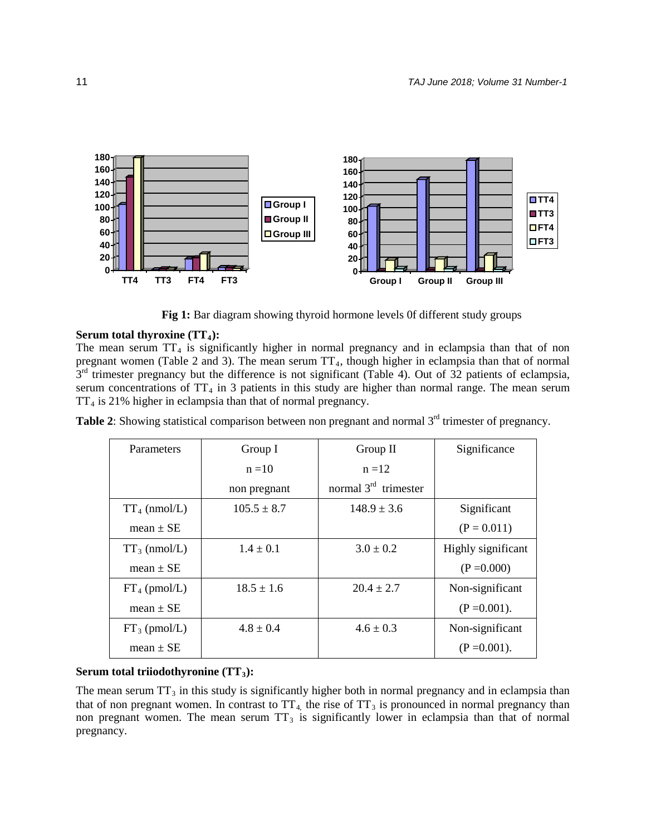

Fig 1: Bar diagram showing thyroid hormone levels 0f different study groups

## **Serum total thyroxine (TT<sub>4</sub>):**

The mean serum  $TT_4$  is significantly higher in normal pregnancy and in eclampsia than that of non pregnant women (Table 2 and 3). The mean serum  $TT_4$ , though higher in eclampsia than that of normal  $3<sup>rd</sup>$  trimester pregnancy but the difference is not significant (Table 4). Out of 32 patients of eclampsia, serum concentrations of  $TT_4$  in 3 patients in this study are higher than normal range. The mean serum  $TT_4$  is 21% higher in eclampsia than that of normal pregnancy.

|  | Table 2: Showing statistical comparison between non pregnant and normal 3 <sup>rd</sup> trimester of pregnancy. |  |
|--|-----------------------------------------------------------------------------------------------------------------|--|
|  |                                                                                                                 |  |

| Parameters      | Group I         | Group II               | Significance       |
|-----------------|-----------------|------------------------|--------------------|
|                 | $n = 10$        | $n = 12$               |                    |
|                 | non pregnant    | normal $3rd$ trimester |                    |
| $TT_4$ (nmol/L) | $105.5 \pm 8.7$ | $148.9 \pm 3.6$        | Significant        |
| mean $\pm$ SE   |                 |                        | $(P = 0.011)$      |
| $TT_3$ (nmol/L) | $1.4 \pm 0.1$   | $3.0 \pm 0.2$          | Highly significant |
| mean $\pm$ SE   |                 |                        | $(P = 0.000)$      |
| $FT_4$ (pmol/L) | $18.5 \pm 1.6$  | $20.4 \pm 2.7$         | Non-significant    |
| mean $\pm$ SE   |                 |                        | $(P = 0.001)$ .    |
| $FT_3$ (pmol/L) | $4.8 \pm 0.4$   | $4.6 \pm 0.3$          | Non-significant    |
| mean $\pm$ SE   |                 |                        | $(P = 0.001)$ .    |

## Serum total triiodothyronine (TT<sub>3</sub>):

The mean serum  $TT_3$  in this study is significantly higher both in normal pregnancy and in eclampsia than that of non pregnant women. In contrast to  $TT_4$ , the rise of  $TT_3$  is pronounced in normal pregnancy than non pregnant women. The mean serum  $TT_3$  is significantly lower in eclampsia than that of normal pregnancy.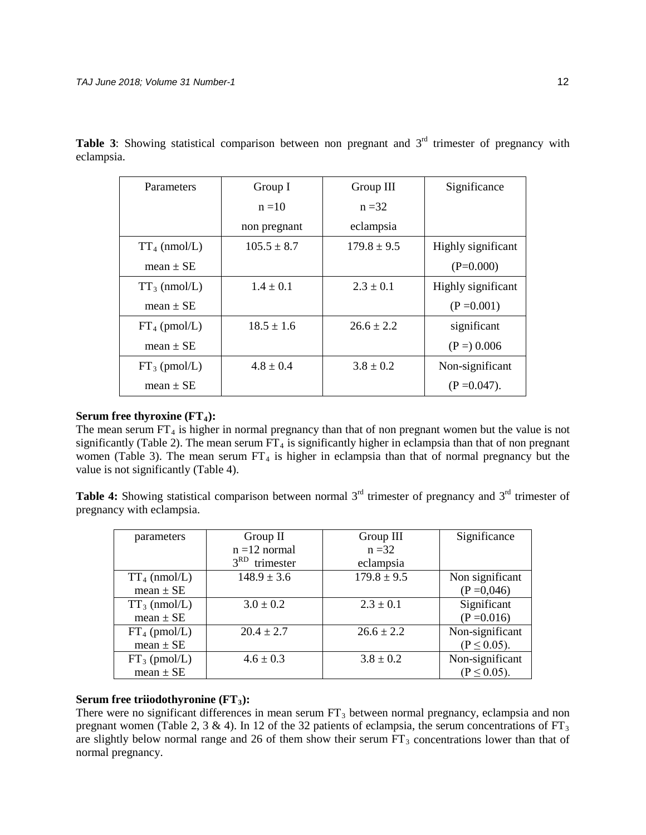| Parameters      | Group I         | Group III       | Significance       |
|-----------------|-----------------|-----------------|--------------------|
|                 | $n = 10$        | $n = 32$        |                    |
|                 | non pregnant    | eclampsia       |                    |
| $TT_4$ (nmol/L) | $105.5 \pm 8.7$ | $179.8 \pm 9.5$ | Highly significant |
| mean $\pm$ SE   |                 |                 | $(P=0.000)$        |
| $TT_3$ (nmol/L) | $1.4 \pm 0.1$   | $2.3 \pm 0.1$   | Highly significant |
| mean $\pm$ SE   |                 |                 | $(P = 0.001)$      |
| $FT_4$ (pmol/L) | $18.5 \pm 1.6$  | $26.6 \pm 2.2$  | significant        |
| mean $\pm$ SE   |                 |                 | $(P =) 0.006$      |
| $FT_3$ (pmol/L) | $4.8 \pm 0.4$   | $3.8 \pm 0.2$   | Non-significant    |
| mean $\pm$ SE   |                 |                 | $(P = 0.047)$ .    |

Table 3: Showing statistical comparison between non pregnant and 3<sup>rd</sup> trimester of pregnancy with eclampsia.

## **Serum free thyroxine (FT<sub>4</sub>):**

The mean serum  $FT_4$  is higher in normal pregnancy than that of non pregnant women but the value is not significantly (Table 2). The mean serum  $FT_4$  is significantly higher in eclampsia than that of non pregnant women (Table 3). The mean serum  $FT_4$  is higher in eclampsia than that of normal pregnancy but the value is not significantly (Table 4).

**Table 4:** Showing statistical comparison between normal 3<sup>rd</sup> trimester of pregnancy and 3<sup>rd</sup> trimester of pregnancy with eclampsia.

| parameters      | Group II                     | Group III       | Significance     |
|-----------------|------------------------------|-----------------|------------------|
|                 | $n = 12$ normal              | $n = 32$        |                  |
|                 | 3 <sup>RD</sup><br>trimester | eclampsia       |                  |
| $TT_4$ (nmol/L) | $148.9 \pm 3.6$              | $179.8 \pm 9.5$ | Non significant  |
| mean $\pm$ SE   |                              |                 | $(P = 0.046)$    |
| $TT_3$ (nmol/L) | $3.0 \pm 0.2$                | $2.3 \pm 0.1$   | Significant      |
| mean $\pm$ SE   |                              |                 | $(P = 0.016)$    |
| $FT_4$ (pmol/L) | $20.4 \pm 2.7$               | $26.6 \pm 2.2$  | Non-significant  |
| $mean \pm SE$   |                              |                 | $(P \le 0.05)$ . |
| $FT_3$ (pmol/L) | $4.6 \pm 0.3$                | $3.8 \pm 0.2$   | Non-significant  |
| $mean \pm SE$   |                              |                 | $(P \le 0.05)$ . |

## **Serum free triiodothyronine (FT<sub>3</sub>):**

There were no significant differences in mean serum  $FT_3$  between normal pregnancy, eclampsia and non pregnant women (Table 2, 3 & 4). In 12 of the 32 patients of eclampsia, the serum concentrations of  $FT_3$ are slightly below normal range and 26 of them show their serum  $FT_3$  concentrations lower than that of normal pregnancy.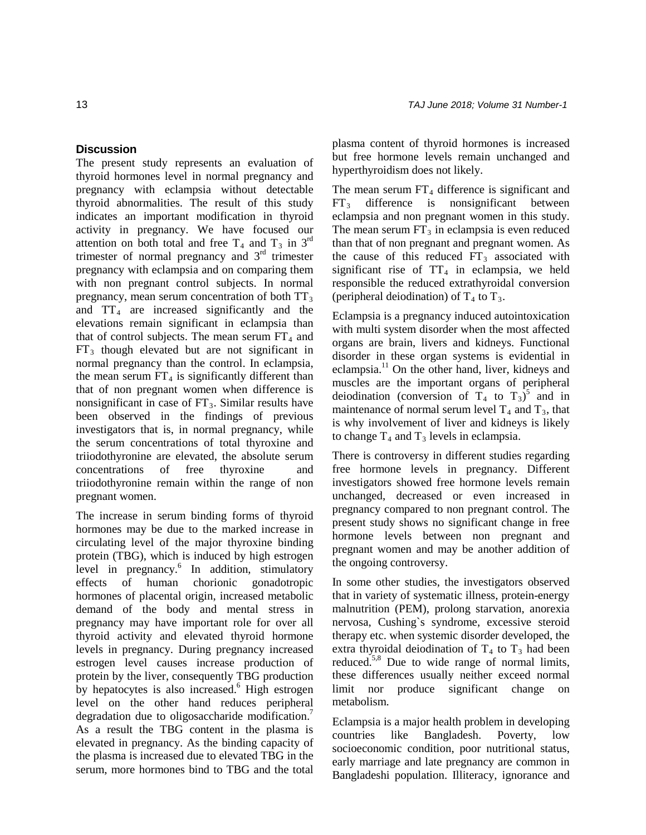## **Discussion**

The present study represents an evaluation of thyroid hormones level in normal pregnancy and pregnancy with eclampsia without detectable thyroid abnormalities. The result of this study indicates an important modification in thyroid activity in pregnancy. We have focused our attention on both total and free  $T_4$  and  $T_3$  in 3<sup>rd</sup> trimester of normal pregnancy and  $3<sup>rd</sup>$  trimester pregnancy with eclampsia and on comparing them with non pregnant control subjects. In normal pregnancy, mean serum concentration of both  $TT_3$ and  $TT_4$  are increased significantly and the elevations remain significant in eclampsia than that of control subjects. The mean serum  $FT<sub>4</sub>$  and  $FT_3$  though elevated but are not significant in normal pregnancy than the control. In eclampsia, the mean serum  $FT_4$  is significantly different than that of non pregnant women when difference is nonsignificant in case of  $FT_3$ . Similar results have been observed in the findings of previous investigators that is, in normal pregnancy, while the serum concentrations of total thyroxine and triiodothyronine are elevated, the absolute serum concentrations of free thyroxine and triiodothyronine remain within the range of non pregnant women.

The increase in serum binding forms of thyroid hormones may be due to the marked increase in circulating level of the major thyroxine binding protein (TBG), which is induced by high estrogen level in pregnancy.<sup>6</sup> In addition, stimulatory effects of human chorionic gonadotropic hormones of placental origin, increased metabolic demand of the body and mental stress in pregnancy may have important role for over all thyroid activity and elevated thyroid hormone levels in pregnancy. During pregnancy increased estrogen level causes increase production of protein by the liver, consequently TBG production by hepatocytes is also increased. $6$  High estrogen level on the other hand reduces peripheral degradation due to oligosaccharide modification.<sup>7</sup> As a result the TBG content in the plasma is elevated in pregnancy. As the binding capacity of the plasma is increased due to elevated TBG in the serum, more hormones bind to TBG and the total

plasma content of thyroid hormones is increased but free hormone levels remain unchanged and hyperthyroidism does not likely.

The mean serum  $FT_4$  difference is significant and  $FT<sub>3</sub>$  difference is nonsignificant between eclampsia and non pregnant women in this study. The mean serum  $FT_3$  in eclampsia is even reduced than that of non pregnant and pregnant women. As the cause of this reduced  $FT_3$  associated with significant rise of  $TT_4$  in eclampsia, we held responsible the reduced extrathyroidal conversion (peripheral deiodination) of  $T_4$  to  $T_3$ .

Eclampsia is a pregnancy induced autointoxication with multi system disorder when the most affected organs are brain, livers and kidneys. Functional disorder in these organ systems is evidential in eclampsia.11 On the other hand, liver, kidneys and muscles are the important organs of peripheral deiodination (conversion of  $T_4$  to  $T_3$ )<sup>5</sup> and in maintenance of normal serum level  $T_4$  and  $T_3$ , that is why involvement of liver and kidneys is likely to change  $T_4$  and  $T_3$  levels in eclampsia.

There is controversy in different studies regarding free hormone levels in pregnancy. Different investigators showed free hormone levels remain unchanged, decreased or even increased in pregnancy compared to non pregnant control. The present study shows no significant change in free hormone levels between non pregnant and pregnant women and may be another addition of the ongoing controversy.

In some other studies, the investigators observed that in variety of systematic illness, protein-energy malnutrition (PEM), prolong starvation, anorexia nervosa, Cushing`s syndrome, excessive steroid therapy etc. when systemic disorder developed, the extra thyroidal deiodination of  $T_4$  to  $T_3$  had been reduced.5,8 Due to wide range of normal limits, these differences usually neither exceed normal limit nor produce significant change on metabolism.

Eclampsia is a major health problem in developing countries like Bangladesh. Poverty, low socioeconomic condition, poor nutritional status, early marriage and late pregnancy are common in Bangladeshi population. Illiteracy, ignorance and